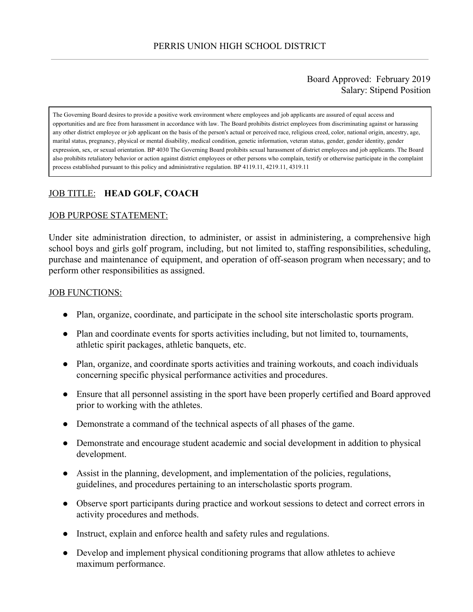### Board Approved: February 2019 Salary: Stipend Position

The Governing Board desires to provide a positive work environment where employees and job applicants are assured of equal access and opportunities and are free from harassment in accordance with law. The Board prohibits district employees from discriminating against or harassing any other district employee or job applicant on the basis of the person's actual or perceived race, religious creed, color, national origin, ancestry, age, marital status, pregnancy, physical or mental disability, medical condition, genetic information, veteran status, gender, gender identity, gender expression, sex, or sexual orientation. BP 4030 The Governing Board prohibits sexual harassment of district employees and job applicants. The Board also prohibits retaliatory behavior or action against district employees or other persons who complain, testify or otherwise participate in the complaint process established pursuant to this policy and administrative regulation. BP 4119.11, 4219.11, 4319.11

# JOB TITLE: **HEAD GOLF, COACH**

#### JOB PURPOSE STATEMENT:

Under site administration direction, to administer, or assist in administering, a comprehensive high school boys and girls golf program, including, but not limited to, staffing responsibilities, scheduling, purchase and maintenance of equipment, and operation of off-season program when necessary; and to perform other responsibilities as assigned.

#### JOB FUNCTIONS:

- Plan, organize, coordinate, and participate in the school site interscholastic sports program.
- Plan and coordinate events for sports activities including, but not limited to, tournaments, athletic spirit packages, athletic banquets, etc.
- Plan, organize, and coordinate sports activities and training workouts, and coach individuals concerning specific physical performance activities and procedures.
- Ensure that all personnel assisting in the sport have been properly certified and Board approved prior to working with the athletes.
- Demonstrate a command of the technical aspects of all phases of the game.
- Demonstrate and encourage student academic and social development in addition to physical development.
- Assist in the planning, development, and implementation of the policies, regulations, guidelines, and procedures pertaining to an interscholastic sports program.
- Observe sport participants during practice and workout sessions to detect and correct errors in activity procedures and methods.
- Instruct, explain and enforce health and safety rules and regulations.
- Develop and implement physical conditioning programs that allow athletes to achieve maximum performance.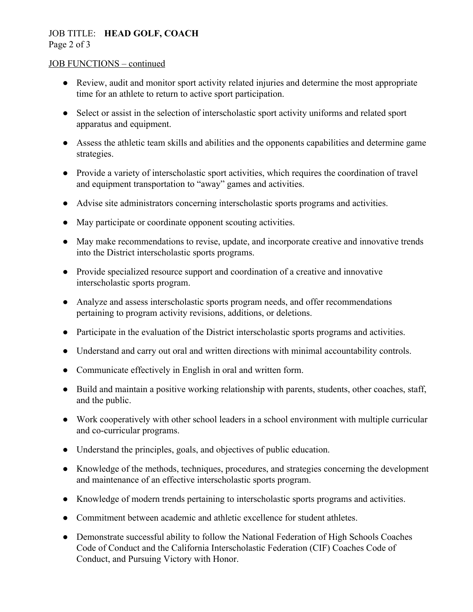# JOB TITLE: **HEAD GOLF, COACH**

Page 2 of 3

#### JOB FUNCTIONS – continued

- Review, audit and monitor sport activity related injuries and determine the most appropriate time for an athlete to return to active sport participation.
- Select or assist in the selection of interscholastic sport activity uniforms and related sport apparatus and equipment.
- Assess the athletic team skills and abilities and the opponents capabilities and determine game strategies.
- Provide a variety of interscholastic sport activities, which requires the coordination of travel and equipment transportation to "away" games and activities.
- Advise site administrators concerning interscholastic sports programs and activities.
- May participate or coordinate opponent scouting activities.
- May make recommendations to revise, update, and incorporate creative and innovative trends into the District interscholastic sports programs.
- Provide specialized resource support and coordination of a creative and innovative interscholastic sports program.
- Analyze and assess interscholastic sports program needs, and offer recommendations pertaining to program activity revisions, additions, or deletions.
- Participate in the evaluation of the District interscholastic sports programs and activities.
- Understand and carry out oral and written directions with minimal accountability controls.
- Communicate effectively in English in oral and written form.
- Build and maintain a positive working relationship with parents, students, other coaches, staff, and the public.
- Work cooperatively with other school leaders in a school environment with multiple curricular and co-curricular programs.
- Understand the principles, goals, and objectives of public education.
- Knowledge of the methods, techniques, procedures, and strategies concerning the development and maintenance of an effective interscholastic sports program.
- Knowledge of modern trends pertaining to interscholastic sports programs and activities.
- Commitment between academic and athletic excellence for student athletes.
- Demonstrate successful ability to follow the National Federation of High Schools Coaches Code of Conduct and the California Interscholastic Federation (CIF) Coaches Code of Conduct, and Pursuing Victory with Honor.